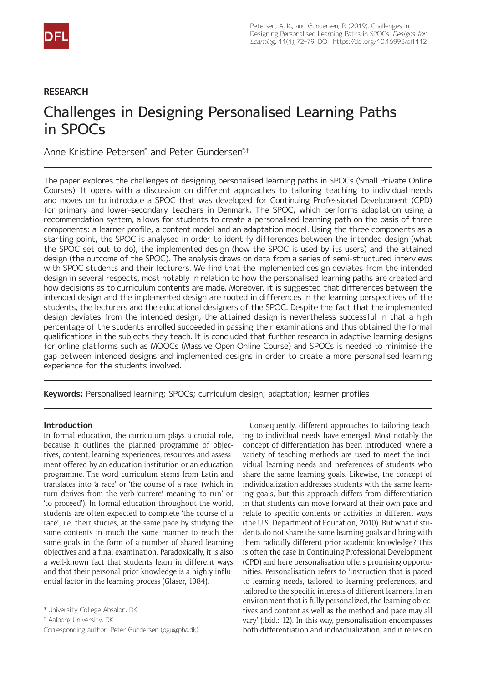## **RESEARCH**

# Challenges in Designing Personalised Learning Paths in SPOCs

Anne Kristine Petersen<sup>\*</sup> and Peter Gundersen<sup>\*,†</sup>

The paper explores the challenges of designing personalised learning paths in SPOCs (Small Private Online Courses). It opens with a discussion on different approaches to tailoring teaching to individual needs and moves on to introduce a SPOC that was developed for Continuing Professional Development (CPD) for primary and lower-secondary teachers in Denmark. The SPOC, which performs adaptation using a recommendation system, allows for students to create a personalised learning path on the basis of three components: a learner profile, a content model and an adaptation model. Using the three components as a starting point, the SPOC is analysed in order to identify differences between the intended design (what the SPOC set out to do), the implemented design (how the SPOC is used by its users) and the attained design (the outcome of the SPOC). The analysis draws on data from a series of semi-structured interviews with SPOC students and their lecturers. We find that the implemented design deviates from the intended design in several respects, most notably in relation to how the personalised learning paths are created and how decisions as to curriculum contents are made. Moreover, it is suggested that differences between the intended design and the implemented design are rooted in differences in the learning perspectives of the students, the lecturers and the educational designers of the SPOC. Despite the fact that the implemented design deviates from the intended design, the attained design is nevertheless successful in that a high percentage of the students enrolled succeeded in passing their examinations and thus obtained the formal qualifications in the subjects they teach. It is concluded that further research in adaptive learning designs for online platforms such as MOOCs (Massive Open Online Course) and SPOCs is needed to minimise the gap between intended designs and implemented designs in order to create a more personalised learning experience for the students involved.

**Keywords:** Personalised learning; SPOCs; curriculum design; adaptation; learner profiles

## **Introduction**

In formal education, the curriculum plays a crucial role, because it outlines the planned programme of objectives, content, learning experiences, resources and assessment offered by an education institution or an education programme. The word curriculum stems from Latin and translates into 'a race' or 'the course of a race' (which in turn derives from the verb 'currere' meaning 'to run' or 'to proceed'). In formal education throughout the world, students are often expected to complete 'the course of a race', i.e. their studies, at the same pace by studying the same contents in much the same manner to reach the same goals in the form of a number of shared learning objectives and a final examination. Paradoxically, it is also a well-known fact that students learn in different ways and that their personal prior knowledge is a highly influential factor in the learning process (Glaser, 1984).

Consequently, different approaches to tailoring teaching to individual needs have emerged. Most notably the concept of differentiation has been introduced, where a variety of teaching methods are used to meet the individual learning needs and preferences of students who share the same learning goals. Likewise, the concept of individualization addresses students with the same learning goals, but this approach differs from differentiation in that students can move forward at their own pace and relate to specific contents or activities in different ways (the U.S. Department of Education, 2010). But what if students do not share the same learning goals and bring with them radically different prior academic knowledge? This is often the case in Continuing Professional Development (CPD) and here personalisation offers promising opportunities. Personalisation refers to 'instruction that is paced to learning needs, tailored to learning preferences, and tailored to the specific interests of different learners. In an environment that is fully personalized, the learning objectives and content as well as the method and pace may all vary' (ibid.: 12). In this way, personalisation encompasses both differentiation and individualization, and it relies on

<sup>\*</sup> University College Absalon, DK

<sup>†</sup> Aalborg University, DK

Corresponding author: Peter Gundersen ([pgu@pha.dk\)](mailto:pgu@pha.dk)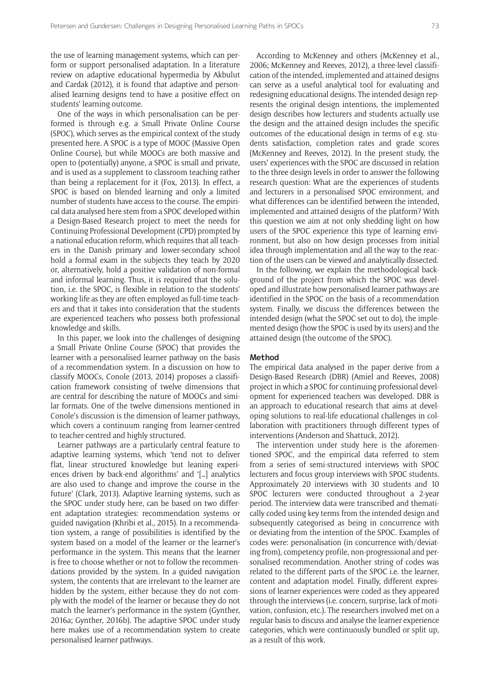the use of learning management systems, which can perform or support personalised adaptation. In a literature review on adaptive educational hypermedia by Akbulut and Cardak (2012), it is found that adaptive and personalised learning designs tend to have a positive effect on students' learning outcome.

One of the ways in which personalisation can be performed is through e.g. a Small Private Online Course (SPOC), which serves as the empirical context of the study presented here. A SPOC is a type of MOOC (Massive Open Online Course), but while MOOCs are both massive and open to (potentially) anyone, a SPOC is small and private, and is used as a supplement to classroom teaching rather than being a replacement for it (Fox, 2013). In effect, a SPOC is based on blended learning and only a limited number of students have access to the course. The empirical data analysed here stem from a SPOC developed within a Design-Based Research project to meet the needs for Continuing Professional Development (CPD) prompted by a national education reform, which requires that all teachers in the Danish primary and lower-secondary school hold a formal exam in the subjects they teach by 2020 or, alternatively, hold a positive validation of non-formal and informal learning. Thus, it is required that the solution, i.e. the SPOC, is flexible in relation to the students' working life as they are often employed as full-time teachers and that it takes into consideration that the students are experienced teachers who possess both professional knowledge and skills.

In this paper, we look into the challenges of designing a Small Private Online Course (SPOC) that provides the learner with a personalised learner pathway on the basis of a recommendation system. In a discussion on how to classify MOOCs, Conole (2013, 2014) proposes a classification framework consisting of twelve dimensions that are central for describing the nature of MOOCs and similar formats. One of the twelve dimensions mentioned in Conole's discussion is the dimension of learner pathways, which covers a continuum ranging from learner-centred to teacher-centred and highly structured.

Learner pathways are a particularly central feature to adaptive learning systems, which 'tend not to deliver flat, linear structured knowledge but leaning experiences driven by back-end algorithms' and '[…] analytics are also used to change and improve the course in the future' (Clark, 2013). Adaptive learning systems, such as the SPOC under study here, can be based on two different adaptation strategies: recommendation systems or guided navigation (Khribi et al., 2015). In a recommendation system, a range of possibilities is identified by the system based on a model of the learner or the learner's performance in the system. This means that the learner is free to choose whether or not to follow the recommendations provided by the system. In a guided navigation system, the contents that are irrelevant to the learner are hidden by the system, either because they do not comply with the model of the learner or because they do not match the learner's performance in the system (Gynther, 2016a; Gynther, 2016b). The adaptive SPOC under study here makes use of a recommendation system to create personalised learner pathways.

According to McKenney and others (McKenney et al., 2006; McKenney and Reeves, 2012), a three-level classification of the intended, implemented and attained designs can serve as a useful analytical tool for evaluating and redesigning educational designs. The intended design represents the original design intentions, the implemented design describes how lecturers and students actually use the design and the attained design includes the specific outcomes of the educational design in terms of e.g. students satisfaction, completion rates and grade scores (McKenney and Reeves, 2012). In the present study, the users' experiences with the SPOC are discussed in relation to the three design levels in order to answer the following research question: What are the experiences of students and lecturers in a personalised SPOC environment, and what differences can be identified between the intended, implemented and attained designs of the platform? With this question we aim at not only shedding light on how users of the SPOC experience this type of learning environment, but also on how design processes from initial idea through implementation and all the way to the reaction of the users can be viewed and analytically dissected.

In the following, we explain the methodological background of the project from which the SPOC was developed and illustrate how personalised learner pathways are identified in the SPOC on the basis of a recommendation system. Finally, we discuss the differences between the intended design (what the SPOC set out to do), the implemented design (how the SPOC is used by its users) and the attained design (the outcome of the SPOC).

## **Method**

The empirical data analysed in the paper derive from a Design-Based Research (DBR) (Amiel and Reeves, 2008) project in which a SPOC for continuing professional development for experienced teachers was developed. DBR is an approach to educational research that aims at developing solutions to real-life educational challenges in collaboration with practitioners through different types of interventions (Anderson and Shattuck, 2012).

The intervention under study here is the aforementioned SPOC, and the empirical data referred to stem from a series of semi-structured interviews with SPOC lecturers and focus group interviews with SPOC students. Approximately 20 interviews with 30 students and 10 SPOC lecturers were conducted throughout a 2-year period. The interview data were transcribed and thematically coded using key terms from the intended design and subsequently categorised as being in concurrence with or deviating from the intention of the SPOC. Examples of codes were: personalisation (in concurrence with/deviating from), competency profile, non-progressional and personalised recommendation. Another string of codes was related to the different parts of the SPOC i.e. the learner, content and adaptation model. Finally, different expressions of learner experiences were coded as they appeared through the interviews (i.e. concern, surprise, lack of motivation, confusion, etc.). The researchers involved met on a regular basis to discuss and analyse the learner experience categories, which were continuously bundled or split up, as a result of this work.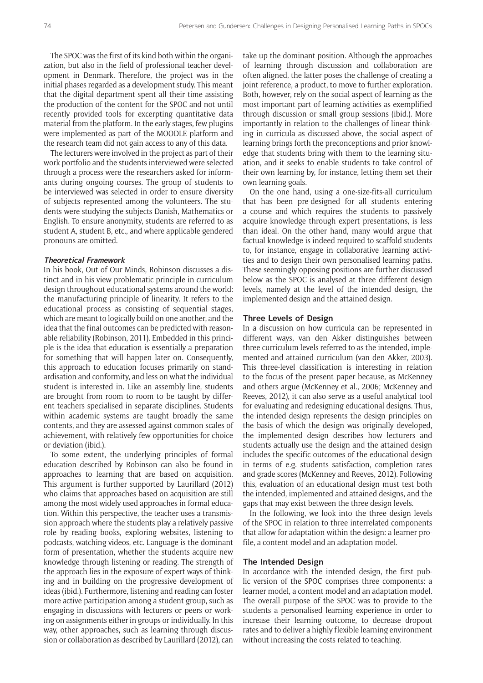The SPOC was the first of its kind both within the organization, but also in the field of professional teacher development in Denmark. Therefore, the project was in the initial phases regarded as a development study. This meant that the digital department spent all their time assisting the production of the content for the SPOC and not until recently provided tools for excerpting quantitative data material from the platform. In the early stages, few plugins were implemented as part of the MOODLE platform and the research team did not gain access to any of this data.

The lecturers were involved in the project as part of their work portfolio and the students interviewed were selected through a process were the researchers asked for informants during ongoing courses. The group of students to be interviewed was selected in order to ensure diversity of subjects represented among the volunteers. The students were studying the subjects Danish, Mathematics or English. To ensure anonymity, students are referred to as student A, student B, etc., and where applicable gendered pronouns are omitted.

#### **Theoretical Framework**

In his book, Out of Our Minds, Robinson discusses a distinct and in his view problematic principle in curriculum design throughout educational systems around the world: the manufacturing principle of linearity. It refers to the educational process as consisting of sequential stages, which are meant to logically build on one another, and the idea that the final outcomes can be predicted with reasonable reliability (Robinson, 2011). Embedded in this principle is the idea that education is essentially a preparation for something that will happen later on. Consequently, this approach to education focuses primarily on standardisation and conformity, and less on what the individual student is interested in. Like an assembly line, students are brought from room to room to be taught by different teachers specialised in separate disciplines. Students within academic systems are taught broadly the same contents, and they are assessed against common scales of achievement, with relatively few opportunities for choice or deviation (ibid.).

To some extent, the underlying principles of formal education described by Robinson can also be found in approaches to learning that are based on acquisition. This argument is further supported by Laurillard (2012) who claims that approaches based on acquisition are still among the most widely used approaches in formal education. Within this perspective, the teacher uses a transmission approach where the students play a relatively passive role by reading books, exploring websites, listening to podcasts, watching videos, etc. Language is the dominant form of presentation, whether the students acquire new knowledge through listening or reading. The strength of the approach lies in the exposure of expert ways of thinking and in building on the progressive development of ideas (ibid.). Furthermore, listening and reading can foster more active participation among a student group, such as engaging in discussions with lecturers or peers or working on assignments either in groups or individually. In this way, other approaches, such as learning through discussion or collaboration as described by Laurillard (2012), can

take up the dominant position. Although the approaches of learning through discussion and collaboration are often aligned, the latter poses the challenge of creating a joint reference, a product, to move to further exploration. Both, however, rely on the social aspect of learning as the most important part of learning activities as exemplified through discussion or small group sessions (ibid.). More importantly in relation to the challenges of linear thinking in curricula as discussed above, the social aspect of learning brings forth the preconceptions and prior knowledge that students bring with them to the learning situation, and it seeks to enable students to take control of their own learning by, for instance, letting them set their own learning goals.

On the one hand, using a one-size-fits-all curriculum that has been pre-designed for all students entering a course and which requires the students to passively acquire knowledge through expert presentations, is less than ideal. On the other hand, many would argue that factual knowledge is indeed required to scaffold students to, for instance, engage in collaborative learning activities and to design their own personalised learning paths. These seemingly opposing positions are further discussed below as the SPOC is analysed at three different design levels, namely at the level of the intended design, the implemented design and the attained design.

### **Three Levels of Design**

In a discussion on how curricula can be represented in different ways, van den Akker distinguishes between three curriculum levels referred to as the intended, implemented and attained curriculum (van den Akker, 2003). This three-level classification is interesting in relation to the focus of the present paper because, as McKenney and others argue (McKenney et al., 2006; McKenney and Reeves, 2012), it can also serve as a useful analytical tool for evaluating and redesigning educational designs. Thus, the intended design represents the design principles on the basis of which the design was originally developed, the implemented design describes how lecturers and students actually use the design and the attained design includes the specific outcomes of the educational design in terms of e.g. students satisfaction, completion rates and grade scores (McKenney and Reeves, 2012). Following this, evaluation of an educational design must test both the intended, implemented and attained designs, and the gaps that may exist between the three design levels.

In the following, we look into the three design levels of the SPOC in relation to three interrelated components that allow for adaptation within the design: a learner profile, a content model and an adaptation model.

### **The Intended Design**

In accordance with the intended design, the first public version of the SPOC comprises three components: a learner model, a content model and an adaptation model. The overall purpose of the SPOC was to provide to the students a personalised learning experience in order to increase their learning outcome, to decrease dropout rates and to deliver a highly flexible learning environment without increasing the costs related to teaching.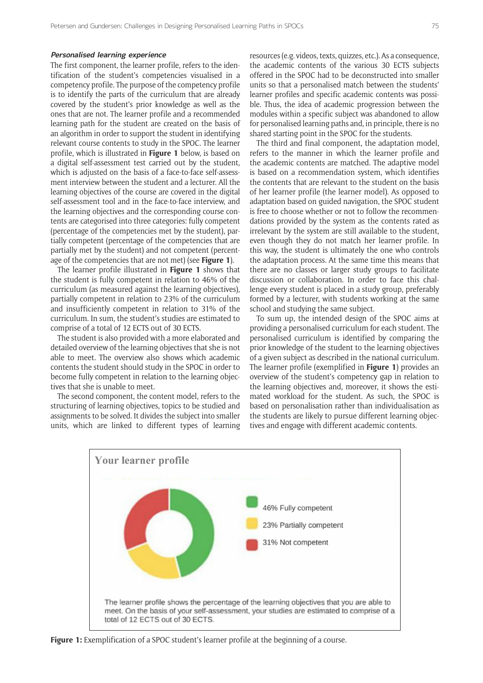### **Personalised learning experience**

The first component, the learner profile, refers to the identification of the student's competencies visualised in a competency profile. The purpose of the competency profile is to identify the parts of the curriculum that are already covered by the student's prior knowledge as well as the ones that are not. The learner profile and a recommended learning path for the student are created on the basis of an algorithm in order to support the student in identifying relevant course contents to study in the SPOC. The learner profile, which is illustrated in **Figure 1** below, is based on a digital self-assessment test carried out by the student, which is adjusted on the basis of a face-to-face self-assessment interview between the student and a lecturer. All the learning objectives of the course are covered in the digital self-assessment tool and in the face-to-face interview, and the learning objectives and the corresponding course contents are categorised into three categories: fully competent (percentage of the competencies met by the student), partially competent (percentage of the competencies that are partially met by the student) and not competent (percentage of the competencies that are not met) (see **Figure 1**).

The learner profile illustrated in **Figure 1** shows that the student is fully competent in relation to 46% of the curriculum (as measured against the learning objectives), partially competent in relation to 23% of the curriculum and insufficiently competent in relation to 31% of the curriculum. In sum, the student's studies are estimated to comprise of a total of 12 ECTS out of 30 ECTS.

The student is also provided with a more elaborated and detailed overview of the learning objectives that she is not able to meet. The overview also shows which academic contents the student should study in the SPOC in order to become fully competent in relation to the learning objectives that she is unable to meet.

The second component, the content model, refers to the structuring of learning objectives, topics to be studied and assignments to be solved. It divides the subject into smaller units, which are linked to different types of learning resources (e.g. videos, texts, quizzes, etc.). As a consequence, the academic contents of the various 30 ECTS subjects offered in the SPOC had to be deconstructed into smaller units so that a personalised match between the students' learner profiles and specific academic contents was possible. Thus, the idea of academic progression between the modules within a specific subject was abandoned to allow for personalised learning paths and, in principle, there is no shared starting point in the SPOC for the students.

The third and final component, the adaptation model, refers to the manner in which the learner profile and the academic contents are matched. The adaptive model is based on a recommendation system, which identifies the contents that are relevant to the student on the basis of her learner profile (the learner model). As opposed to adaptation based on guided navigation, the SPOC student is free to choose whether or not to follow the recommendations provided by the system as the contents rated as irrelevant by the system are still available to the student, even though they do not match her learner profile. In this way, the student is ultimately the one who controls the adaptation process. At the same time this means that there are no classes or larger study groups to facilitate discussion or collaboration. In order to face this challenge every student is placed in a study group, preferably formed by a lecturer, with students working at the same school and studying the same subject.

To sum up, the intended design of the SPOC aims at providing a personalised curriculum for each student. The personalised curriculum is identified by comparing the prior knowledge of the student to the learning objectives of a given subject as described in the national curriculum. The learner profile (exemplified in **Figure 1**) provides an overview of the student's competency gap in relation to the learning objectives and, moreover, it shows the estimated workload for the student. As such, the SPOC is based on personalisation rather than individualisation as the students are likely to pursue different learning objectives and engage with different academic contents.



**Figure 1:** Exemplification of a SPOC student's learner profile at the beginning of a course.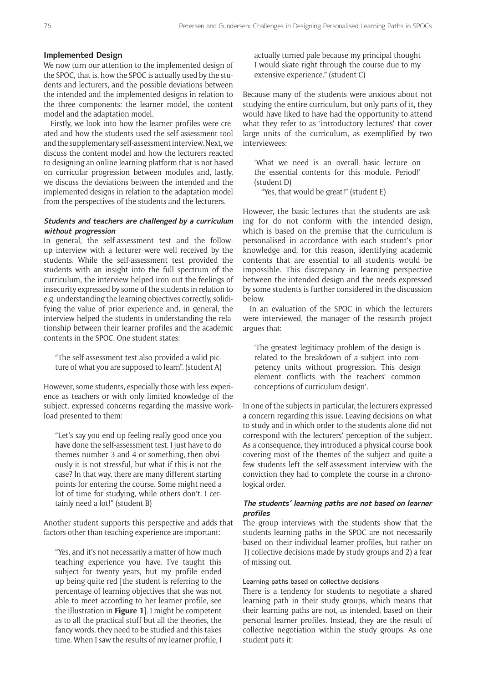## **Implemented Design**

We now turn our attention to the implemented design of the SPOC, that is, how the SPOC is actually used by the students and lecturers, and the possible deviations between the intended and the implemented designs in relation to the three components: the learner model, the content model and the adaptation model.

Firstly, we look into how the learner profiles were created and how the students used the self-assessment tool and the supplementary self-assessment interview. Next, we discuss the content model and how the lecturers reacted to designing an online learning platform that is not based on curricular progression between modules and, lastly, we discuss the deviations between the intended and the implemented designs in relation to the adaptation model from the perspectives of the students and the lecturers.

## **Students and teachers are challenged by a curriculum without progression**

In general, the self-assessment test and the followup interview with a lecturer were well received by the students. While the self-assessment test provided the students with an insight into the full spectrum of the curriculum, the interview helped iron out the feelings of insecurity expressed by some of the students in relation to e.g. understanding the learning objectives correctly, solidifying the value of prior experience and, in general, the interview helped the students in understanding the relationship between their learner profiles and the academic contents in the SPOC. One student states:

"The self-assessment test also provided a valid picture of what you are supposed to learn". (student A)

However, some students, especially those with less experience as teachers or with only limited knowledge of the subject, expressed concerns regarding the massive workload presented to them:

"Let's say you end up feeling really good once you have done the self-assessment test. I just have to do themes number 3 and 4 or something, then obviously it is not stressful, but what if this is not the case? In that way, there are many different starting points for entering the course. Some might need a lot of time for studying, while others don't. I certainly need a lot!" (student B)

Another student supports this perspective and adds that factors other than teaching experience are important:

"Yes, and it's not necessarily a matter of how much teaching experience you have. I've taught this subject for twenty years, but my profile ended up being quite red [the student is referring to the percentage of learning objectives that she was not able to meet according to her learner profile, see the illustration in **Figure 1**]. I might be competent as to all the practical stuff but all the theories, the fancy words, they need to be studied and this takes time. When I saw the results of my learner profile, I actually turned pale because my principal thought I would skate right through the course due to my extensive experience." (student C)

Because many of the students were anxious about not studying the entire curriculum, but only parts of it, they would have liked to have had the opportunity to attend what they refer to as 'introductory lectures' that cover large units of the curriculum, as exemplified by two interviewees:

'What we need is an overall basic lecture on the essential contents for this module. Period!' (student D)

"Yes, that would be great!" (student E)

However, the basic lectures that the students are asking for do not conform with the intended design, which is based on the premise that the curriculum is personalised in accordance with each student's prior knowledge and, for this reason, identifying academic contents that are essential to all students would be impossible. This discrepancy in learning perspective between the intended design and the needs expressed by some students is further considered in the discussion below.

In an evaluation of the SPOC in which the lecturers were interviewed, the manager of the research project argues that:

'The greatest legitimacy problem of the design is related to the breakdown of a subject into competency units without progression. This design element conflicts with the teachers' common conceptions of curriculum design'.

In one of the subjects in particular, the lecturers expressed a concern regarding this issue. Leaving decisions on what to study and in which order to the students alone did not correspond with the lecturers' perception of the subject. As a consequence, they introduced a physical course book covering most of the themes of the subject and quite a few students left the self-assessment interview with the conviction they had to complete the course in a chronological order.

## **The students' learning paths are not based on learner profiles**

The group interviews with the students show that the students learning paths in the SPOC are not necessarily based on their individual learner profiles, but rather on 1) collective decisions made by study groups and 2) a fear of missing out.

## Learning paths based on collective decisions

There is a tendency for students to negotiate a shared learning path in their study groups, which means that their learning paths are not, as intended, based on their personal learner profiles. Instead, they are the result of collective negotiation within the study groups. As one student puts it: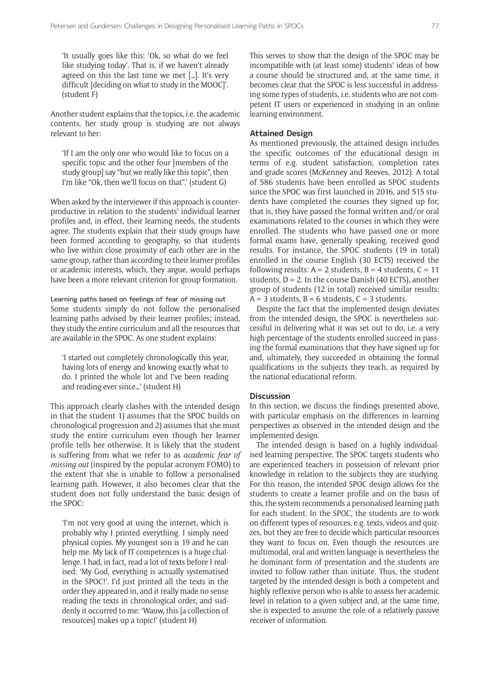'It usually goes like this: 'Ok, so what do we feel like studying today'. That is, if we haven't already agreed on this the last time we met […]. It's very difficult [deciding on what to study in the MOOC]'. (student F)

Another student explains that the topics, i.e. the academic contents, her study group is studying are not always relevant to her:

'If I am the only one who would like to focus on a specific topic and the other four [members of the study group] say "but we really like this topic", then I'm like "Ok, then we'll focus on that".' (student G)

When asked by the interviewer if this approach is counterproductive in relation to the students' individual learner profiles and, in effect, their learning needs, the students agree. The students explain that their study groups have been formed according to geography, so that students who live within close proximity of each other are in the same group, rather than according to their learner profiles or academic interests, which, they argue, would perhaps have been a more relevant criterion for group formation.

Learning paths based on feelings of fear of missing out Some students simply do not follow the personalised learning paths advised by their learner profiles; instead, they study the entire curriculum and all the resources that are available in the SPOC. As one student explains:

'I started out completely chronologically this year, having lots of energy and knowing exactly what to do. I printed the whole lot and I've been reading and reading ever since…' (student H)

This approach clearly clashes with the intended design in that the student 1) assumes that the SPOC builds on chronological progression and 2) assumes that she must study the entire curriculum even though her learner profile tells her otherwise. It is likely that the student is suffering from what we refer to as *academic fear of missing out* (inspired by the popular acronym FOMO) to the extent that she is unable to follow a personalised learning path. However, it also becomes clear that the student does not fully understand the basic design of the SPOC:

'I'm not very good at using the internet, which is probably why I printed everything. I simply need physical copies. My youngest son is 19 and he can help me. My lack of IT competences is a huge challenge. I had, in fact, read a lot of texts before I realised: 'My God, everything is actually systematised in the SPOC!'. I'd just printed all the texts in the order they appeared in, and it really made no sense reading the texts in chronological order, and suddenly it occurred to me: 'Wauw, this [a collection of resources] makes up a topic!' (student H)

This serves to show that the design of the SPOC may be incompatible with (at least some) students' ideas of how a course should be structured and, at the same time, it becomes clear that the SPOC is less successful in addressing some types of students, i.e. students who are not competent IT users or experienced in studying in an online learning environment.

## **Attained Design**

As mentioned previously, the attained design includes the specific outcomes of the educational design in terms of e.g. student satisfaction, completion rates and grade scores (McKenney and Reeves, 2012). A total of 586 students have been enrolled as SPOC students since the SPOC was first launched in 2016, and 515 students have completed the courses they signed up for, that is, they have passed the formal written and/or oral examinations related to the courses in which they were enrolled. The students who have passed one or more formal exams have, generally speaking, received good results. For instance, the SPOC students (19 in total) enrolled in the course English (30 ECTS) received the following results:  $A = 2$  students,  $B = 4$  students,  $C = 11$ students,  $D = 2$ . In the course Danish (40 ECTS), another group of students (12 in total) received similar results:  $A = 3$  students,  $B = 6$  students,  $C = 3$  students.

Despite the fact that the implemented design deviates from the intended design, the SPOC is nevertheless successful in delivering what it was set out to do, i.e. a very high percentage of the students enrolled succeed in passing the formal examinations that they have signed up for and, ultimately, they succeeded in obtaining the formal qualifications in the subjects they teach, as required by the national educational reform.

## **Discussion**

In this section, we discuss the findings presented above, with particular emphasis on the differences in learning perspectives as observed in the intended design and the implemented design.

The intended design is based on a highly individualised learning perspective. The SPOC targets students who are experienced teachers in possession of relevant prior knowledge in relation to the subjects they are studying. For this reason, the intended SPOC design allows for the students to create a learner profile and on the basis of this, the system recommends a personalised learning path for each student. In the SPOC, the students are to work on different types of resources, e.g. texts, videos and quizzes, but they are free to decide which particular resources they want to focus on. Even though the resources are multimodal, oral and written language is nevertheless the he dominant form of presentation and the students are invited to follow rather than initiate. Thus, the student targeted by the intended design is both a competent and highly reflexive person who is able to assess her academic level in relation to a given subject and, at the same time, she is expected to assume the role of a relatively passive receiver of information.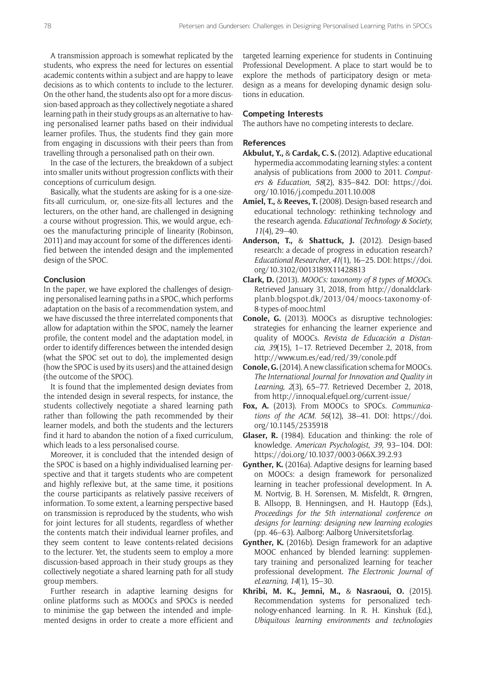A transmission approach is somewhat replicated by the students, who express the need for lectures on essential academic contents within a subject and are happy to leave decisions as to which contents to include to the lecturer. On the other hand, the students also opt for a more discussion-based approach as they collectively negotiate a shared learning path in their study groups as an alternative to having personalised learner paths based on their individual learner profiles. Thus, the students find they gain more from engaging in discussions with their peers than from travelling through a personalised path on their own.

In the case of the lecturers, the breakdown of a subject into smaller units without progression conflicts with their conceptions of curriculum design.

Basically, what the students are asking for is a one-sizefits-all curriculum, or, one-size-fits-all lectures and the lecturers, on the other hand, are challenged in designing a course without progression. This, we would argue, echoes the manufacturing principle of linearity (Robinson, 2011) and may account for some of the differences identified between the intended design and the implemented design of the SPOC.

## **Conclusion**

In the paper, we have explored the challenges of designing personalised learning paths in a SPOC, which performs adaptation on the basis of a recommendation system, and we have discussed the three interrelated components that allow for adaptation within the SPOC, namely the learner profile, the content model and the adaptation model, in order to identify differences between the intended design (what the SPOC set out to do), the implemented design (how the SPOC is used by its users) and the attained design (the outcome of the SPOC).

It is found that the implemented design deviates from the intended design in several respects, for instance, the students collectively negotiate a shared learning path rather than following the path recommended by their learner models, and both the students and the lecturers find it hard to abandon the notion of a fixed curriculum, which leads to a less personalised course.

Moreover, it is concluded that the intended design of the SPOC is based on a highly individualised learning perspective and that it targets students who are competent and highly reflexive but, at the same time, it positions the course participants as relatively passive receivers of information. To some extent, a learning perspective based on transmission is reproduced by the students, who wish for joint lectures for all students, regardless of whether the contents match their individual learner profiles, and they seem content to leave contents-related decisions to the lecturer. Yet, the students seem to employ a more discussion-based approach in their study groups as they collectively negotiate a shared learning path for all study group members.

Further research in adaptive learning designs for online platforms such as MOOCs and SPOCs is needed to minimise the gap between the intended and implemented designs in order to create a more efficient and

targeted learning experience for students in Continuing Professional Development. A place to start would be to explore the methods of participatory design or metadesign as a means for developing dynamic design solutions in education.

## **Competing Interests**

The authors have no competing interests to declare.

#### **References**

- **Akbulut, Y.,** & **Cardak, C. S.** (2012). Adaptive educational hypermedia accommodating learning styles: a content analysis of publications from 2000 to 2011. *Computers & Education*, *58*(2), 835–842. DOI: [https://doi.](https://doi.org/10.1016/j.compedu.2011.10.008) [org/10.1016/j.compedu.2011.10.008](https://doi.org/10.1016/j.compedu.2011.10.008)
- **Amiel, T.,** & **Reeves, T.** (2008). Design-based research and educational technology: rethinking technology and the research agenda. *Educational Technology & Society*, *11*(4), 29–40.
- **Anderson, T.,** & **Shattuck, J.** (2012). Design-based research: a decade of progress in education research? *Educational Researcher*, *41*(1), 16–25. DOI: [https://doi.](https://doi.org/10.3102/0013189X11428813) [org/10.3102/0013189X11428813](https://doi.org/10.3102/0013189X11428813)
- **Clark, D.** (2013). *MOOCs: taxonomy of 8 types of MOOCs*. Retrieved January 31, 2018, from [http://donaldclark](http://donaldclarkplanb.blogspot.dk/2013/04/moocs-taxonomy-of-8-types-of-mooc.html)[planb.blogspot.dk/2013/04/moocs-taxonomy-of-](http://donaldclarkplanb.blogspot.dk/2013/04/moocs-taxonomy-of-8-types-of-mooc.html)[8-types-of-mooc.html](http://donaldclarkplanb.blogspot.dk/2013/04/moocs-taxonomy-of-8-types-of-mooc.html)
- **Conole, G.** (2013). MOOCs as disruptive technologies: strategies for enhancing the learner experience and quality of MOOCs. *Revista de Educación a Distancia*, *39*(15), 1–17. Retrieved December 2, 2018, from <http://www.um.es/ead/red/39/conole.pdf>
- **Conole, G.** (2014). A new classification schema for MOOCs. *The International Journal for Innovation and Quality in Learning*, *2*(3), 65–77. Retrieved December 2, 2018, from <http://innoqual.efquel.org/current-issue/>
- **Fox, A.** (2013). From MOOCs to SPOCs. *Communications of the ACM*. *56*(12), 38–41. DOI: [https://doi.](https://doi.org/10.1145/2535918) [org/10.1145/2535918](https://doi.org/10.1145/2535918)
- **Glaser, R.** (1984). Education and thinking: the role of knowledge. *American Psychologist*, *39*, 93–104. DOI: <https://doi.org/10.1037/0003-066X.39.2.93>
- **Gynther, K.** (2016a). Adaptive designs for learning based on MOOCs: a design framework for personalized learning in teacher professional development. In A. M. Nortvig, B. H. Sørensen, M. Misfeldt, R. Ørngren, B. Allsopp, B. Henningsen, and H. Hautopp (Eds.), *Proceedings for the 5th international conference on designs for learning: designing new learning ecologies* (pp. 46–63). Aalborg: Aalborg Universitetsforlag.
- **Gynther, K.** (2016b). Design framework for an adaptive MOOC enhanced by blended learning: supplementary training and personalized learning for teacher professional development. *The Electronic Journal of eLearning*, *14*(1), 15–30.
- **Khribi, M. K., Jemni, M.,** & **Nasraoui, O.** (2015). Recommendation systems for personalized technology-enhanced learning. In R. H. Kinshuk (Ed.), *Ubiquitous learning environments and technologies*